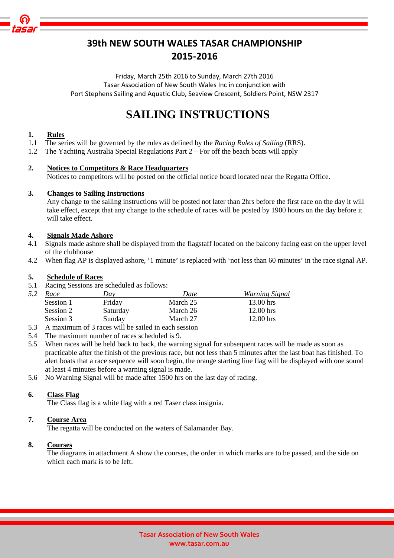

## **39th NEW SOUTH WALES TASAR CHAMPIONSHIP 2015-2016**

Friday, March 25th 2016 to Sunday, March 27th 2016 Tasar Association of New South Wales Inc in conjunction with Port Stephens Sailing and Aquatic Club, Seaview Crescent, Soldiers Point, NSW 2317

# **SAILING INSTRUCTIONS**

### **1. Rules**

- 1.1 The series will be governed by the rules as defined by the *Racing Rules of Sailing* (RRS).
- 1.2 The Yachting Australia Special Regulations Part 2 For off the beach boats will apply

## **2. Notices to Competitors & Race Headquarters**

Notices to competitors will be posted on the official notice board located near the Regatta Office.

## **3. Changes to Sailing Instructions**

Any change to the sailing instructions will be posted not later than 2hrs before the first race on the day it will take effect, except that any change to the schedule of races will be posted by 1900 hours on the day before it will take effect.

## **4. Signals Made Ashore**

- 4.1 Signals made ashore shall be displayed from the flagstaff located on the balcony facing east on the upper level of the clubhouse
- 4.2 When flag AP is displayed ashore, '1 minute' is replaced with 'not less than 60 minutes' in the race signal AP.

## **5. Schedule of Races**

5.1 Racing Sessions are scheduled as follows:

| 5.2 | Race      | $\Delta$ av | Date     | <i>Warning Signal</i> |
|-----|-----------|-------------|----------|-----------------------|
|     | Session 1 | Friday      | March 25 | 13.00 hrs             |
|     | Session 2 | Saturday    | March 26 | $12.00$ hrs           |
|     | Session 3 | Sunday      | March 27 | $12.00$ hrs           |
|     |           |             |          |                       |

5.3 A maximum of 3 races will be sailed in each session

- 5.4 The maximum number of races scheduled is 9.
- 5.5 When races will be held back to back, the warning signal for subsequent races will be made as soon as practicable after the finish of the previous race, but not less than 5 minutes after the last boat has finished. To alert boats that a race sequence will soon begin, the orange starting line flag will be displayed with one sound at least 4 minutes before a warning signal is made.
- 5.6 No Warning Signal will be made after 1500 hrs on the last day of racing.

## **6. Class Flag**

The Class flag is a white flag with a red Taser class insignia.

## **7. Course Area**

The regatta will be conducted on the waters of Salamander Bay.

#### **8. Courses**

The diagrams in attachment A show the courses, the order in which marks are to be passed, and the side on which each mark is to be left.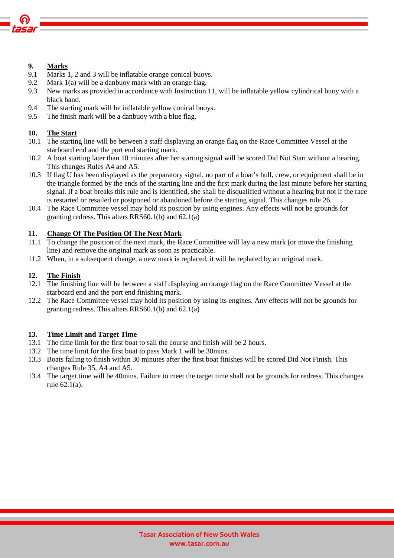

# **9. Marks**

- Marks 1, 2 and 3 will be inflatable orange conical buoys.
- 9.2 Mark 1(a) will be a danbuoy mark with an orange flag.
- 9.3 New marks as provided in accordance with Instruction 11, will be inflatable yellow cylindrical buoy with a black band.
- 9.4 The starting mark will be inflatable yellow conical buoys.
- 9.5 The finish mark will be a danbuoy with a blue flag.

## **10. The Start**

- 10.1 The starting line will be between a staff displaying an orange flag on the Race Committee Vessel at the starboard end and the port end starting mark.
- 10.2 A boat starting later than 10 minutes after her starting signal will be scored Did Not Start without a hearing. This changes Rules A4 and A5.
- 10.3 If flag U has been displayed as the preparatory signal, no part of a boat's hull, crew, or equipment shall be in the triangle formed by the ends of the starting line and the first mark during the last minute before her starting signal. If a boat breaks this rule and is identified, she shall be disqualified without a hearing but not if the race is restarted or resailed or postponed or abandoned before the starting signal. This changes rule 26.
- 10.4 The Race Committee vessel may hold its position by using engines. Any effects will not be grounds for granting redress. This alters RRS60.1(b) and 62.1(a)

## **11. Change Of The Position Of The Next Mark**

- 11.1 To change the position of the next mark, the Race Committee will lay a new mark (or move the finishing line) and remove the original mark as soon as practicable.
- 11.2 When, in a subsequent change, a new mark is replaced, it will be replaced by an original mark.

## **12. The Finish**

- 12.1 The finishing line will be between a staff displaying an orange flag on the Race Committee Vessel at the starboard end and the port end finishing mark.
- 12.2 The Race Committee vessel may hold its position by using its engines. Any effects will not be grounds for granting redress. This alters RRS60.1(b) and 62.1(a)

#### **13. Time Limit and Target Time**

- 13.1 The time limit for the first boat to sail the course and finish will be 2 hours.
- 13.2 The time limit for the first boat to pass Mark 1 will be 30mins.
- 13.3 Boats failing to finish within 30 minutes after the first boat finishes will be scored Did Not Finish. This changes Rule 35, A4 and A5.
- 13.4 The target time will be 40mins. Failure to meet the target time shall not be grounds for redress. This changes rule 62.1(a).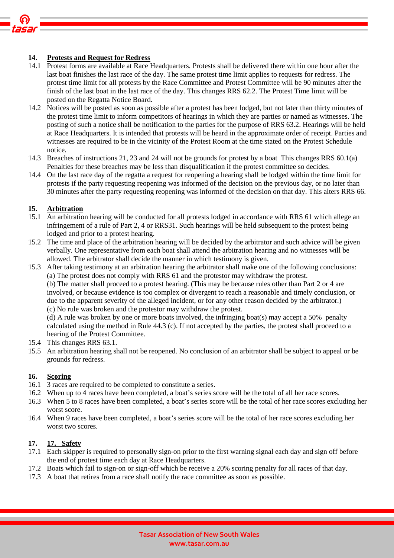## **14. Protests and Request for Redress**

- 14.1 Protest forms are available at Race Headquarters. Protests shall be delivered there within one hour after the last boat finishes the last race of the day. The same protest time limit applies to requests for redress. The protest time limit for all protests by the Race Committee and Protest Committee will be 90 minutes after the finish of the last boat in the last race of the day. This changes RRS 62.2. The Protest Time limit will be posted on the Regatta Notice Board.
- 14.2 Notices will be posted as soon as possible after a protest has been lodged, but not later than thirty minutes of the protest time limit to inform competitors of hearings in which they are parties or named as witnesses. The posting of such a notice shall be notification to the parties for the purpose of RRS 63.2. Hearings will be held at Race Headquarters. It is intended that protests will be heard in the approximate order of receipt. Parties and witnesses are required to be in the vicinity of the Protest Room at the time stated on the Protest Schedule notice.
- 14.3 Breaches of instructions 21, 23 and 24 will not be grounds for protest by a boat This changes RRS 60.1(a) Penalties for these breaches may be less than disqualification if the protest committee so decides.
- 14.4 On the last race day of the regatta a request for reopening a hearing shall be lodged within the time limit for protests if the party requesting reopening was informed of the decision on the previous day, or no later than 30 minutes after the party requesting reopening was informed of the decision on that day. This alters RRS 66.

## **15. Arbitration**

- 15.1 An arbitration hearing will be conducted for all protests lodged in accordance with RRS 61 which allege an infringement of a rule of Part 2, 4 or RRS31. Such hearings will be held subsequent to the protest being lodged and prior to a protest hearing.
- 15.2 The time and place of the arbitration hearing will be decided by the arbitrator and such advice will be given verbally. One representative from each boat shall attend the arbitration hearing and no witnesses will be allowed. The arbitrator shall decide the manner in which testimony is given.
- 15.3 After taking testimony at an arbitration hearing the arbitrator shall make one of the following conclusions: (a) The protest does not comply with RRS 61 and the protestor may withdraw the protest. (b) The matter shall proceed to a protest hearing. (This may be because rules other than Part 2 or 4 are

involved, or because evidence is too complex or divergent to reach a reasonable and timely conclusion, or due to the apparent severity of the alleged incident, or for any other reason decided by the arbitrator.) (c) No rule was broken and the protestor may withdraw the protest.

(d) A rule was broken by one or more boats involved, the infringing boat(s) may accept a 50% penalty calculated using the method in Rule 44.3 (c). If not accepted by the parties, the protest shall proceed to a hearing of the Protest Committee.

- 15.4 This changes RRS 63.1.
- 15.5 An arbitration hearing shall not be reopened. No conclusion of an arbitrator shall be subject to appeal or be grounds for redress.

## **16. Scoring**

- 16.1 3 races are required to be completed to constitute a series.
- 16.2 When up to 4 races have been completed, a boat's series score will be the total of all her race scores.
- 16.3 When 5 to 8 races have been completed, a boat's series score will be the total of her race scores excluding her worst score.
- 16.4 When 9 races have been completed, a boat's series score will be the total of her race scores excluding her worst two scores.

## **17. 17. Safety**

- 17.1 Each skipper is required to personally sign-on prior to the first warning signal each day and sign off before the end of protest time each day at Race Headquarters.
- 17.2 Boats which fail to sign-on or sign-off which be receive a 20% scoring penalty for all races of that day.
- 17.3 A boat that retires from a race shall notify the race committee as soon as possible.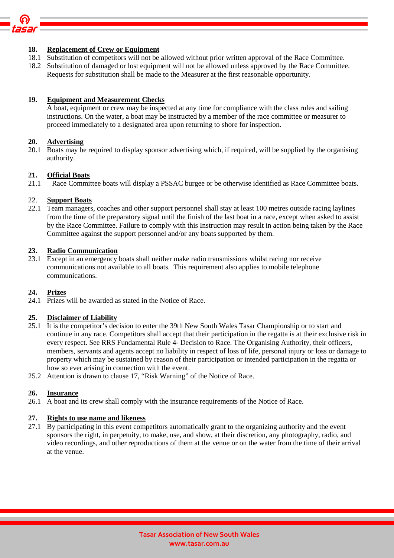

#### **18. Replacement of Crew or Equipment**

- 18.1 Substitution of competitors will not be allowed without prior written approval of the Race Committee.
- 18.2 Substitution of damaged or lost equipment will not be allowed unless approved by the Race Committee. Requests for substitution shall be made to the Measurer at the first reasonable opportunity.

## **19. Equipment and Measurement Checks**

A boat, equipment or crew may be inspected at any time for compliance with the class rules and sailing instructions. On the water, a boat may be instructed by a member of the race committee or measurer to proceed immediately to a designated area upon returning to shore for inspection.

## **20. Advertising**

20.1 Boats may be required to display sponsor advertising which, if required, will be supplied by the organising authority.

## **21. Official Boats**

21.1 Race Committee boats will display a PSSAC burgee or be otherwise identified as Race Committee boats.

## 22. **Support Boats**

22.1 Team managers, coaches and other support personnel shall stay at least 100 metres outside racing laylines from the time of the preparatory signal until the finish of the last boat in a race, except when asked to assist by the Race Committee. Failure to comply with this Instruction may result in action being taken by the Race Committee against the support personnel and/or any boats supported by them.

## **23. Radio Communication**

23.1 Except in an emergency boats shall neither make radio transmissions whilst racing nor receive communications not available to all boats. This requirement also applies to mobile telephone communications.

#### **24. Prizes**

24.1 Prizes will be awarded as stated in the Notice of Race.

## **25. Disclaimer of Liability**

- 25.1 It is the competitor's decision to enter the 39th New South Wales Tasar Championship or to start and continue in any race. Competitors shall accept that their participation in the regatta is at their exclusive risk in every respect. See RRS Fundamental Rule 4- Decision to Race. The Organising Authority, their officers, members, servants and agents accept no liability in respect of loss of life, personal injury or loss or damage to property which may be sustained by reason of their participation or intended participation in the regatta or how so ever arising in connection with the event.
- 25.2 Attention is drawn to clause 17, "Risk Warning" of the Notice of Race.

## **26. Insurance**

26.1 A boat and its crew shall comply with the insurance requirements of the Notice of Race.

#### **27. Rights to use name and likeness**

27.1 By participating in this event competitors automatically grant to the organizing authority and the event sponsors the right, in perpetuity, to make, use, and show, at their discretion, any photography, radio, and video recordings, and other reproductions of them at the venue or on the water from the time of their arrival at the venue.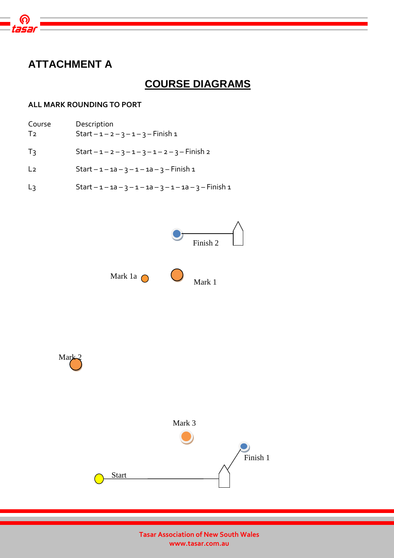# **ATTACHMENT A**

## **COURSE DIAGRAMS**

## **ALL MARK ROUNDING TO PORT**

| Description<br>Start-1-2-3-1-3-Finish 1 |
|-----------------------------------------|
| Start-1-2-3-1-3-1-2-3-Finish 2          |
| Start-1-1a-3-1-1a-3-Finish 1            |
| Start-1-1a-3-1-1a-3-1-1a-3-Finish 1     |
|                                         |







**Tasar Association of New South Wales www.tasar.com.au**